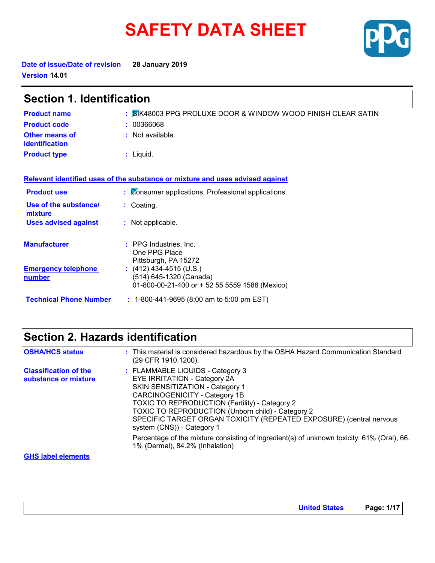# **SAFETY DATA SHEET**



**Date of issue/Date of revision 28 January 2019 Version 14.01**

| <b>Section 1. Identification</b>            |                                                                                                      |  |
|---------------------------------------------|------------------------------------------------------------------------------------------------------|--|
| <b>Product name</b>                         | : SIK48003 PPG PROLUXE DOOR & WINDOW WOOD FINISH CLEAR SATIN                                         |  |
| <b>Product code</b>                         | 00366068                                                                                             |  |
| <b>Other means of</b><br>identification     | $:$ Not available.                                                                                   |  |
| <b>Product type</b>                         | $:$ Liquid.                                                                                          |  |
|                                             | Relevant identified uses of the substance or mixture and uses advised against                        |  |
| <b>Product use</b>                          | : Consumer applications, Professional applications.                                                  |  |
| Use of the substance/<br>mixture            | : Coating.                                                                                           |  |
| <b>Uses advised against</b>                 | : Not applicable.                                                                                    |  |
| <b>Manufacturer</b>                         | : PPG Industries, Inc.<br>One PPG Place<br>Pittsburgh, PA 15272                                      |  |
| <b>Emergency telephone</b><br><u>number</u> | $(412)$ 434-4515 (U.S.)<br>(514) 645-1320 (Canada)<br>01-800-00-21-400 or + 52 55 5559 1588 (Mexico) |  |
| <b>Technical Phone Number</b>               | $: 1-800-441-9695 (8:00 am to 5:00 pm EST)$                                                          |  |

# **Section 2. Hazards identification**

| <b>OSHA/HCS status</b>                               | : This material is considered hazardous by the OSHA Hazard Communication Standard<br>(29 CFR 1910.1200).                                                                                                                                                                                                                                                                                                                                       |
|------------------------------------------------------|------------------------------------------------------------------------------------------------------------------------------------------------------------------------------------------------------------------------------------------------------------------------------------------------------------------------------------------------------------------------------------------------------------------------------------------------|
| <b>Classification of the</b><br>substance or mixture | : FLAMMABLE LIQUIDS - Category 3<br>EYE IRRITATION - Category 2A<br>SKIN SENSITIZATION - Category 1<br>CARCINOGENICITY - Category 1B<br>TOXIC TO REPRODUCTION (Fertility) - Category 2<br>TOXIC TO REPRODUCTION (Unborn child) - Category 2<br>SPECIFIC TARGET ORGAN TOXICITY (REPEATED EXPOSURE) (central nervous<br>system (CNS)) - Category 1<br>Percentage of the mixture consisting of ingredient(s) of unknown toxicity: 61% (Oral), 66. |
|                                                      | 1% (Dermal), 84.2% (Inhalation)                                                                                                                                                                                                                                                                                                                                                                                                                |

#### **GHS label elements**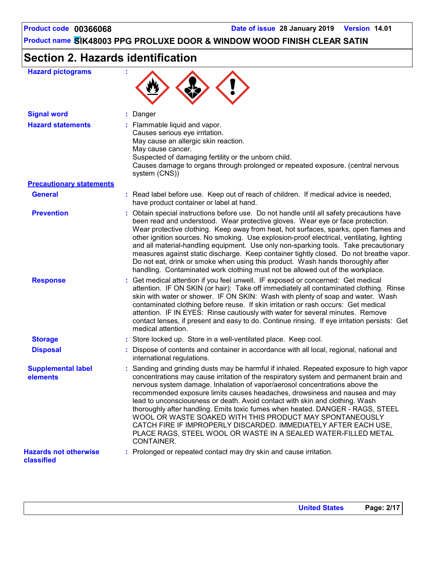# **Section 2. Hazards identification**

| <b>Hazard pictograms</b>                   |                                                                                                                                                                                                                                                                                                                                                                                                                                                                                                                                                                                                                                                                                                                                 |
|--------------------------------------------|---------------------------------------------------------------------------------------------------------------------------------------------------------------------------------------------------------------------------------------------------------------------------------------------------------------------------------------------------------------------------------------------------------------------------------------------------------------------------------------------------------------------------------------------------------------------------------------------------------------------------------------------------------------------------------------------------------------------------------|
| <b>Signal word</b>                         | : Danger                                                                                                                                                                                                                                                                                                                                                                                                                                                                                                                                                                                                                                                                                                                        |
| <b>Hazard statements</b>                   | : Flammable liquid and vapor.<br>Causes serious eye irritation.<br>May cause an allergic skin reaction.<br>May cause cancer.<br>Suspected of damaging fertility or the unborn child.<br>Causes damage to organs through prolonged or repeated exposure. (central nervous<br>system (CNS))                                                                                                                                                                                                                                                                                                                                                                                                                                       |
| <b>Precautionary statements</b>            |                                                                                                                                                                                                                                                                                                                                                                                                                                                                                                                                                                                                                                                                                                                                 |
| <b>General</b>                             | : Read label before use. Keep out of reach of children. If medical advice is needed,<br>have product container or label at hand.                                                                                                                                                                                                                                                                                                                                                                                                                                                                                                                                                                                                |
| <b>Prevention</b>                          | : Obtain special instructions before use. Do not handle until all safety precautions have<br>been read and understood. Wear protective gloves. Wear eye or face protection.<br>Wear protective clothing. Keep away from heat, hot surfaces, sparks, open flames and<br>other ignition sources. No smoking. Use explosion-proof electrical, ventilating, lighting<br>and all material-handling equipment. Use only non-sparking tools. Take precautionary<br>measures against static discharge. Keep container tightly closed. Do not breathe vapor.<br>Do not eat, drink or smoke when using this product. Wash hands thoroughly after<br>handling. Contaminated work clothing must not be allowed out of the workplace.        |
| <b>Response</b>                            | : Get medical attention if you feel unwell. IF exposed or concerned: Get medical<br>attention. IF ON SKIN (or hair): Take off immediately all contaminated clothing. Rinse<br>skin with water or shower. IF ON SKIN: Wash with plenty of soap and water. Wash<br>contaminated clothing before reuse. If skin irritation or rash occurs: Get medical<br>attention. IF IN EYES: Rinse cautiously with water for several minutes. Remove<br>contact lenses, if present and easy to do. Continue rinsing. If eye irritation persists: Get<br>medical attention.                                                                                                                                                                     |
| <b>Storage</b>                             | : Store locked up. Store in a well-ventilated place. Keep cool.                                                                                                                                                                                                                                                                                                                                                                                                                                                                                                                                                                                                                                                                 |
| <b>Disposal</b>                            | : Dispose of contents and container in accordance with all local, regional, national and<br>international regulations.                                                                                                                                                                                                                                                                                                                                                                                                                                                                                                                                                                                                          |
| <b>Supplemental label</b><br>elements      | : Sanding and grinding dusts may be harmful if inhaled. Repeated exposure to high vapor<br>concentrations may cause irritation of the respiratory system and permanent brain and<br>nervous system damage. Inhalation of vapor/aerosol concentrations above the<br>recommended exposure limits causes headaches, drowsiness and nausea and may<br>lead to unconsciousness or death. Avoid contact with skin and clothing. Wash<br>thoroughly after handling. Emits toxic fumes when heated. DANGER - RAGS, STEEL<br>WOOL OR WASTE SOAKED WITH THIS PRODUCT MAY SPONTANEOUSLY<br>CATCH FIRE IF IMPROPERLY DISCARDED. IMMEDIATELY AFTER EACH USE,<br>PLACE RAGS, STEEL WOOL OR WASTE IN A SEALED WATER-FILLED METAL<br>CONTAINER. |
| <b>Hazards not otherwise</b><br>classified | : Prolonged or repeated contact may dry skin and cause irritation.                                                                                                                                                                                                                                                                                                                                                                                                                                                                                                                                                                                                                                                              |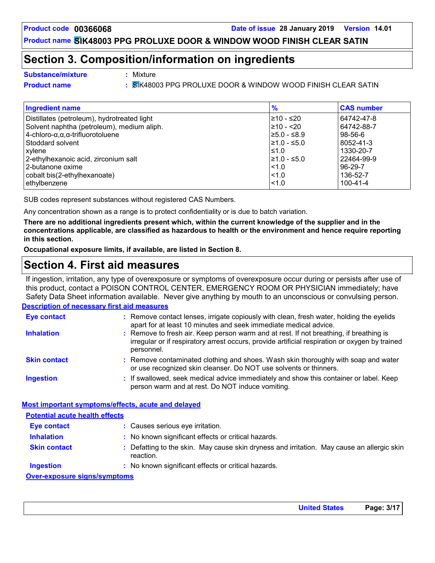### **Section 3. Composition/information on ingredients**

- **Substance/mixture :**
- Mixture
- 
- **Product name :** SIK48003 PPG PROLUXE DOOR & WINDOW WOOD FINISH CLEAR SATIN

| <b>Ingredient name</b>                                  | $\frac{9}{6}$    | <b>CAS number</b> |
|---------------------------------------------------------|------------------|-------------------|
| Distillates (petroleum), hydrotreated light             | l≥10 - ≤20       | 64742-47-8        |
| Solvent naphtha (petroleum), medium aliph.              | $\geq 10 - 20$   | 64742-88-7        |
| $4$ -chloro- $\alpha, \alpha, \alpha$ -trifluorotoluene | $\geq 5.0 - 5.9$ | $98 - 56 - 6$     |
| Stoddard solvent                                        | $\geq 1.0 - 5.0$ | 8052-41-3         |
| xylene                                                  | $\leq 1.0$       | 1330-20-7         |
| 2-ethylhexanoic acid, zirconium salt                    | $\geq 1.0 - 5.0$ | 22464-99-9        |
| 2-butanone oxime                                        | $\leq 1.0$       | $96-29-7$         |
| cobalt bis(2-ethylhexanoate)                            | < 1.0            | 136-52-7          |
| ethylbenzene                                            | < 1.0            | $100 - 41 - 4$    |

SUB codes represent substances without registered CAS Numbers.

Any concentration shown as a range is to protect confidentiality or is due to batch variation.

**There are no additional ingredients present which, within the current knowledge of the supplier and in the concentrations applicable, are classified as hazardous to health or the environment and hence require reporting in this section.**

**Occupational exposure limits, if available, are listed in Section 8.**

# **Section 4. First aid measures**

If ingestion, irritation, any type of overexposure or symptoms of overexposure occur during or persists after use of this product, contact a POISON CONTROL CENTER, EMERGENCY ROOM OR PHYSICIAN immediately; have Safety Data Sheet information available. Never give anything by mouth to an unconscious or convulsing person.

#### **Description of necessary first aid measures**

| Eye contact                                             | : Remove contact lenses, irrigate copiously with clean, fresh water, holding the eyelids<br>apart for at least 10 minutes and seek immediate medical advice.                                           |
|---------------------------------------------------------|--------------------------------------------------------------------------------------------------------------------------------------------------------------------------------------------------------|
| <b>Inhalation</b>                                       | : Remove to fresh air. Keep person warm and at rest. If not breathing, if breathing is<br>irregular or if respiratory arrest occurs, provide artificial respiration or oxygen by trained<br>personnel. |
| <b>Skin contact</b>                                     | : Remove contaminated clothing and shoes. Wash skin thoroughly with soap and water<br>or use recognized skin cleanser. Do NOT use solvents or thinners.                                                |
| <b>Ingestion</b>                                        | : If swallowed, seek medical advice immediately and show this container or label. Keep<br>person warm and at rest. Do NOT induce vomiting.                                                             |
| Most important symptoms/effects, acute and delayed      |                                                                                                                                                                                                        |
| <b>Potential acute health effects</b>                   |                                                                                                                                                                                                        |
| <b>Eye contact</b>                                      | : Causes serious eye irritation.                                                                                                                                                                       |
| <b>Inhalation</b>                                       | : No known significant effects or critical hazards.                                                                                                                                                    |
| <b>Skin contact</b>                                     | : Defatting to the skin. May cause skin dryness and irritation. May cause an allergic skin<br>reaction.                                                                                                |
| <b>Ingestion</b>                                        | : No known significant effects or critical hazards.                                                                                                                                                    |
| Array and a substitute of the state of the second state |                                                                                                                                                                                                        |

#### **Over-exposure signs/symptoms**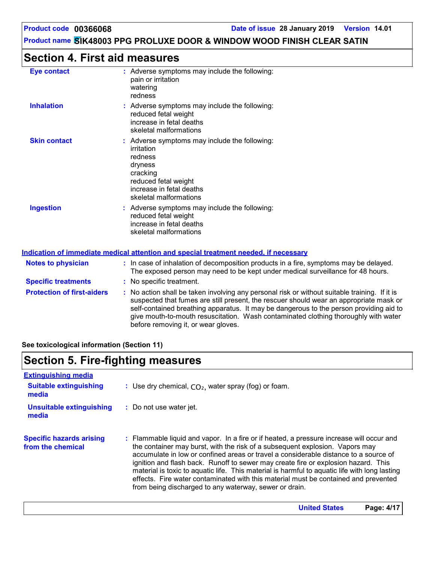**United States Page: 4/17**

# **Product name SIK48003 PPG PROLUXE DOOR & WINDOW WOOD FINISH CLEAR SATIN**

### **Section 4. First aid measures**

| <b>Eye contact</b>                | : Adverse symptoms may include the following:<br>pain or irritation<br>watering<br>redness                                                                                              |
|-----------------------------------|-----------------------------------------------------------------------------------------------------------------------------------------------------------------------------------------|
| <b>Inhalation</b>                 | : Adverse symptoms may include the following:<br>reduced fetal weight<br>increase in fetal deaths<br>skeletal malformations                                                             |
| <b>Skin contact</b>               | : Adverse symptoms may include the following:<br>irritation<br>redness<br>dryness<br>cracking<br>reduced fetal weight<br>increase in fetal deaths<br>skeletal malformations             |
| <b>Ingestion</b>                  | : Adverse symptoms may include the following:<br>reduced fetal weight<br>increase in fetal deaths<br>skeletal malformations                                                             |
|                                   | Indication of immediate medical attention and special treatment needed, if necessary                                                                                                    |
| <b>Notes to physician</b>         | : In case of inhalation of decomposition products in a fire, symptoms may be delayed.<br>The exposed person may need to be kept under medical surveillance for 48 hours.                |
| <b>Specific treatments</b>        | : No specific treatment.                                                                                                                                                                |
| <b>Protection of first-aiders</b> | : No action shall be taken involving any personal risk or without suitable training. If it is<br>suspected that fumes are still present, the rescuer should wear an appropriate mask or |

self-contained breathing apparatus. It may be dangerous to the person providing aid to give mouth-to-mouth resuscitation. Wash contaminated clothing thoroughly with water before removing it, or wear gloves.

**See toxicological information (Section 11)**

### **Section 5. Fire-fighting measures**

| <b>Extinguishing media</b><br><b>Suitable extinguishing</b><br>media | : Use dry chemical, $CO2$ , water spray (fog) or foam.                                                                                                                                                                                                                                                                                                                                                                                                                                                                                                                                                   |
|----------------------------------------------------------------------|----------------------------------------------------------------------------------------------------------------------------------------------------------------------------------------------------------------------------------------------------------------------------------------------------------------------------------------------------------------------------------------------------------------------------------------------------------------------------------------------------------------------------------------------------------------------------------------------------------|
| <b>Unsuitable extinguishing</b><br>media                             | : Do not use water jet.                                                                                                                                                                                                                                                                                                                                                                                                                                                                                                                                                                                  |
| <b>Specific hazards arising</b><br>from the chemical                 | : Flammable liquid and vapor. In a fire or if heated, a pressure increase will occur and<br>the container may burst, with the risk of a subsequent explosion. Vapors may<br>accumulate in low or confined areas or travel a considerable distance to a source of<br>ignition and flash back. Runoff to sewer may create fire or explosion hazard. This<br>material is toxic to aquatic life. This material is harmful to aquatic life with long lasting<br>effects. Fire water contaminated with this material must be contained and prevented<br>from being discharged to any waterway, sewer or drain. |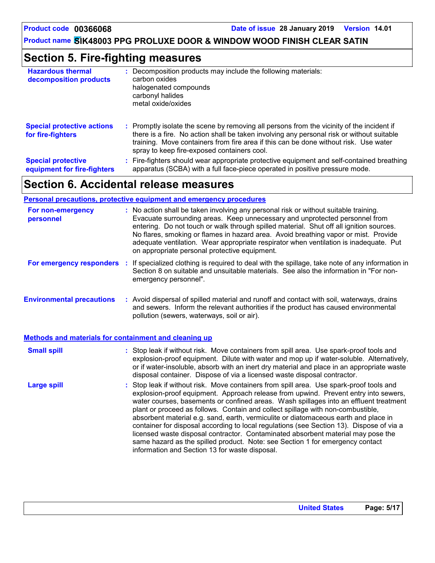# **Section 5. Fire-fighting measures**

| <b>Hazardous thermal</b><br>decomposition products       | Decomposition products may include the following materials:<br>carbon oxides<br>halogenated compounds<br>carbonyl halides<br>metal oxide/oxides                                                                                                                                                                               |
|----------------------------------------------------------|-------------------------------------------------------------------------------------------------------------------------------------------------------------------------------------------------------------------------------------------------------------------------------------------------------------------------------|
| <b>Special protective actions</b><br>for fire-fighters   | : Promptly isolate the scene by removing all persons from the vicinity of the incident if<br>there is a fire. No action shall be taken involving any personal risk or without suitable<br>training. Move containers from fire area if this can be done without risk. Use water<br>spray to keep fire-exposed containers cool. |
| <b>Special protective</b><br>equipment for fire-fighters | : Fire-fighters should wear appropriate protective equipment and self-contained breathing<br>apparatus (SCBA) with a full face-piece operated in positive pressure mode.                                                                                                                                                      |

# **Section 6. Accidental release measures**

#### **Personal precautions, protective equipment and emergency procedures**

| For non-emergency<br>personnel                               | : No action shall be taken involving any personal risk or without suitable training.<br>Evacuate surrounding areas. Keep unnecessary and unprotected personnel from<br>entering. Do not touch or walk through spilled material. Shut off all ignition sources.<br>No flares, smoking or flames in hazard area. Avoid breathing vapor or mist. Provide<br>adequate ventilation. Wear appropriate respirator when ventilation is inadequate. Put<br>on appropriate personal protective equipment.                                                                                                                                                                                                                                                                      |
|--------------------------------------------------------------|----------------------------------------------------------------------------------------------------------------------------------------------------------------------------------------------------------------------------------------------------------------------------------------------------------------------------------------------------------------------------------------------------------------------------------------------------------------------------------------------------------------------------------------------------------------------------------------------------------------------------------------------------------------------------------------------------------------------------------------------------------------------|
| For emergency responders                                     | : If specialized clothing is required to deal with the spillage, take note of any information in<br>Section 8 on suitable and unsuitable materials. See also the information in "For non-<br>emergency personnel".                                                                                                                                                                                                                                                                                                                                                                                                                                                                                                                                                   |
| <b>Environmental precautions</b>                             | : Avoid dispersal of spilled material and runoff and contact with soil, waterways, drains<br>and sewers. Inform the relevant authorities if the product has caused environmental<br>pollution (sewers, waterways, soil or air).                                                                                                                                                                                                                                                                                                                                                                                                                                                                                                                                      |
| <b>Methods and materials for containment and cleaning up</b> |                                                                                                                                                                                                                                                                                                                                                                                                                                                                                                                                                                                                                                                                                                                                                                      |
| <b>Small spill</b>                                           | : Stop leak if without risk. Move containers from spill area. Use spark-proof tools and<br>explosion-proof equipment. Dilute with water and mop up if water-soluble. Alternatively,<br>or if water-insoluble, absorb with an inert dry material and place in an appropriate waste<br>disposal container. Dispose of via a licensed waste disposal contractor.                                                                                                                                                                                                                                                                                                                                                                                                        |
| <b>Large spill</b>                                           | : Stop leak if without risk. Move containers from spill area. Use spark-proof tools and<br>explosion-proof equipment. Approach release from upwind. Prevent entry into sewers,<br>water courses, basements or confined areas. Wash spillages into an effluent treatment<br>plant or proceed as follows. Contain and collect spillage with non-combustible,<br>absorbent material e.g. sand, earth, vermiculite or diatomaceous earth and place in<br>container for disposal according to local regulations (see Section 13). Dispose of via a<br>licensed waste disposal contractor. Contaminated absorbent material may pose the<br>same hazard as the spilled product. Note: see Section 1 for emergency contact<br>information and Section 13 for waste disposal. |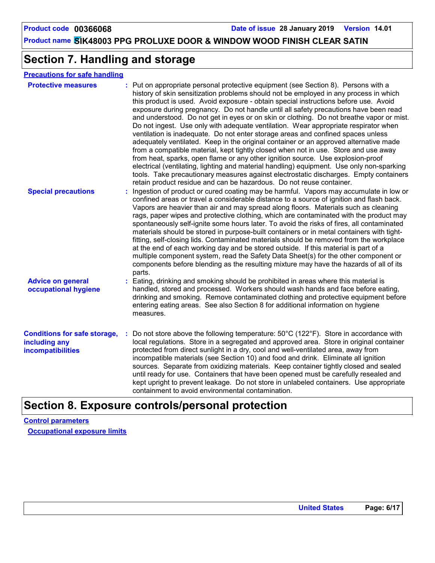# **Section 7. Handling and storage**

#### **Precautions for safe handling**

| <b>Protective measures</b>                                                       | : Put on appropriate personal protective equipment (see Section 8). Persons with a<br>history of skin sensitization problems should not be employed in any process in which<br>this product is used. Avoid exposure - obtain special instructions before use. Avoid<br>exposure during pregnancy. Do not handle until all safety precautions have been read<br>and understood. Do not get in eyes or on skin or clothing. Do not breathe vapor or mist.<br>Do not ingest. Use only with adequate ventilation. Wear appropriate respirator when<br>ventilation is inadequate. Do not enter storage areas and confined spaces unless<br>adequately ventilated. Keep in the original container or an approved alternative made<br>from a compatible material, kept tightly closed when not in use. Store and use away<br>from heat, sparks, open flame or any other ignition source. Use explosion-proof<br>electrical (ventilating, lighting and material handling) equipment. Use only non-sparking<br>tools. Take precautionary measures against electrostatic discharges. Empty containers<br>retain product residue and can be hazardous. Do not reuse container. |
|----------------------------------------------------------------------------------|---------------------------------------------------------------------------------------------------------------------------------------------------------------------------------------------------------------------------------------------------------------------------------------------------------------------------------------------------------------------------------------------------------------------------------------------------------------------------------------------------------------------------------------------------------------------------------------------------------------------------------------------------------------------------------------------------------------------------------------------------------------------------------------------------------------------------------------------------------------------------------------------------------------------------------------------------------------------------------------------------------------------------------------------------------------------------------------------------------------------------------------------------------------------|
| <b>Special precautions</b>                                                       | Ingestion of product or cured coating may be harmful. Vapors may accumulate in low or<br>confined areas or travel a considerable distance to a source of ignition and flash back.<br>Vapors are heavier than air and may spread along floors. Materials such as cleaning<br>rags, paper wipes and protective clothing, which are contaminated with the product may<br>spontaneously self-ignite some hours later. To avoid the risks of fires, all contaminated<br>materials should be stored in purpose-built containers or in metal containers with tight-<br>fitting, self-closing lids. Contaminated materials should be removed from the workplace<br>at the end of each working day and be stored outside. If this material is part of a<br>multiple component system, read the Safety Data Sheet(s) for the other component or<br>components before blending as the resulting mixture may have the hazards of all of its<br>parts.                                                                                                                                                                                                                           |
| <b>Advice on general</b><br>occupational hygiene                                 | : Eating, drinking and smoking should be prohibited in areas where this material is<br>handled, stored and processed. Workers should wash hands and face before eating,<br>drinking and smoking. Remove contaminated clothing and protective equipment before<br>entering eating areas. See also Section 8 for additional information on hygiene<br>measures.                                                                                                                                                                                                                                                                                                                                                                                                                                                                                                                                                                                                                                                                                                                                                                                                       |
| <b>Conditions for safe storage,</b><br>including any<br><b>incompatibilities</b> | Do not store above the following temperature: $50^{\circ}$ C (122 $^{\circ}$ F). Store in accordance with<br>local regulations. Store in a segregated and approved area. Store in original container<br>protected from direct sunlight in a dry, cool and well-ventilated area, away from<br>incompatible materials (see Section 10) and food and drink. Eliminate all ignition<br>sources. Separate from oxidizing materials. Keep container tightly closed and sealed<br>until ready for use. Containers that have been opened must be carefully resealed and<br>kept upright to prevent leakage. Do not store in unlabeled containers. Use appropriate<br>containment to avoid environmental contamination.                                                                                                                                                                                                                                                                                                                                                                                                                                                      |

# **Section 8. Exposure controls/personal protection**

**Control parameters Occupational exposure limits**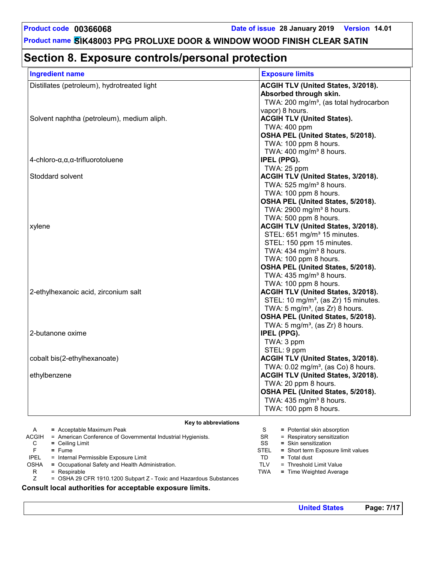# **Section 8. Exposure controls/personal protection**

| <b>Ingredient name</b>                                                | <b>Exposure limits</b>                                                    |
|-----------------------------------------------------------------------|---------------------------------------------------------------------------|
| Distillates (petroleum), hydrotreated light                           | ACGIH TLV (United States, 3/2018).                                        |
|                                                                       | Absorbed through skin.                                                    |
|                                                                       | TWA: 200 mg/m <sup>3</sup> , (as total hydrocarbon                        |
|                                                                       | vapor) 8 hours.                                                           |
| Solvent naphtha (petroleum), medium aliph.                            | <b>ACGIH TLV (United States).</b><br>TWA: 400 ppm                         |
|                                                                       | OSHA PEL (United States, 5/2018).                                         |
|                                                                       | TWA: 100 ppm 8 hours.                                                     |
|                                                                       | TWA: $400$ mg/m <sup>3</sup> 8 hours.                                     |
| $4$ -chloro- $\alpha, \alpha, \alpha$ -trifluorotoluene               | IPEL (PPG).                                                               |
|                                                                       | TWA: 25 ppm                                                               |
| Stoddard solvent                                                      | ACGIH TLV (United States, 3/2018).                                        |
|                                                                       | TWA: 525 mg/m <sup>3</sup> 8 hours.                                       |
|                                                                       | TWA: 100 ppm 8 hours.                                                     |
|                                                                       | OSHA PEL (United States, 5/2018).<br>TWA: 2900 mg/m <sup>3</sup> 8 hours. |
|                                                                       | TWA: 500 ppm 8 hours.                                                     |
| xylene                                                                | ACGIH TLV (United States, 3/2018).                                        |
|                                                                       | STEL: 651 mg/m <sup>3</sup> 15 minutes.                                   |
|                                                                       | STEL: 150 ppm 15 minutes.                                                 |
|                                                                       | TWA: 434 mg/m <sup>3</sup> 8 hours.                                       |
|                                                                       | TWA: 100 ppm 8 hours.                                                     |
|                                                                       | OSHA PEL (United States, 5/2018).                                         |
|                                                                       | TWA: 435 mg/m <sup>3</sup> 8 hours.                                       |
| 2-ethylhexanoic acid, zirconium salt                                  | TWA: 100 ppm 8 hours.<br>ACGIH TLV (United States, 3/2018).               |
|                                                                       | STEL: 10 mg/m <sup>3</sup> , (as Zr) 15 minutes.                          |
|                                                                       | TWA: $5 \text{ mg/m}^3$ , (as Zr) 8 hours.                                |
|                                                                       | OSHA PEL (United States, 5/2018).                                         |
|                                                                       | TWA: $5 \text{ mg/m}^3$ , (as Zr) 8 hours.                                |
| 2-butanone oxime                                                      | IPEL (PPG).                                                               |
|                                                                       | TWA: 3 ppm                                                                |
|                                                                       | STEL: 9 ppm                                                               |
| cobalt bis(2-ethylhexanoate)                                          | <b>ACGIH TLV (United States, 3/2018).</b>                                 |
|                                                                       | TWA: 0.02 mg/m <sup>3</sup> , (as Co) 8 hours.                            |
| ethylbenzene                                                          | <b>ACGIH TLV (United States, 3/2018).</b>                                 |
|                                                                       | TWA: 20 ppm 8 hours.<br>OSHA PEL (United States, 5/2018).                 |
|                                                                       | TWA: 435 mg/m <sup>3</sup> 8 hours.                                       |
|                                                                       | TWA: 100 ppm 8 hours.                                                     |
|                                                                       |                                                                           |
| Key to abbreviations<br>= Acceptable Maximum Peak<br>A                | S<br>= Potential skin absorption                                          |
| = American Conference of Governmental Industrial Hygienists.<br>ACGIH | <b>SR</b><br>= Respiratory sensitization                                  |
| С<br>$=$ Ceiling Limit                                                | SS<br>= Skin sensitization                                                |
| F<br>$=$ Fume<br><b>IPEL</b><br>= Internal Permissible Exposure Limit | <b>STEL</b><br>= Short term Exposure limit values<br>TD<br>$=$ Total dust |
| = Occupational Safety and Health Administration.<br>OSHA              | <b>TLV</b><br>= Threshold Limit Value                                     |

R = Respirable

Z = OSHA 29 CFR 1910.1200 Subpart Z - Toxic and Hazardous Substances

**Consult local authorities for acceptable exposure limits.**

TWA **=** Time Weighted Average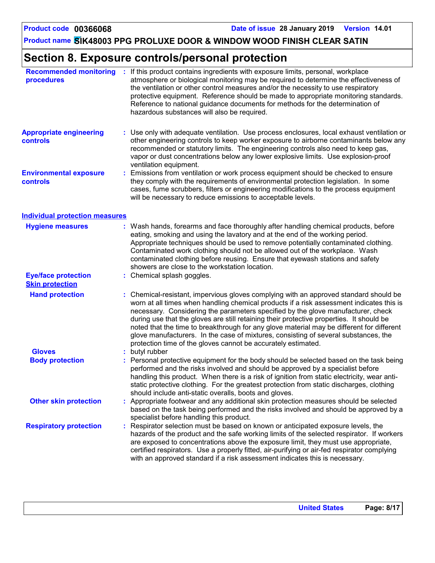# **Section 8. Exposure controls/personal protection**

| <b>Recommended monitoring</b><br>procedures          |    | : If this product contains ingredients with exposure limits, personal, workplace<br>atmosphere or biological monitoring may be required to determine the effectiveness of<br>the ventilation or other control measures and/or the necessity to use respiratory<br>protective equipment. Reference should be made to appropriate monitoring standards.<br>Reference to national guidance documents for methods for the determination of<br>hazardous substances will also be required.                                                                                                                                  |
|------------------------------------------------------|----|------------------------------------------------------------------------------------------------------------------------------------------------------------------------------------------------------------------------------------------------------------------------------------------------------------------------------------------------------------------------------------------------------------------------------------------------------------------------------------------------------------------------------------------------------------------------------------------------------------------------|
| <b>Appropriate engineering</b><br>controls           |    | : Use only with adequate ventilation. Use process enclosures, local exhaust ventilation or<br>other engineering controls to keep worker exposure to airborne contaminants below any<br>recommended or statutory limits. The engineering controls also need to keep gas,<br>vapor or dust concentrations below any lower explosive limits. Use explosion-proof<br>ventilation equipment.                                                                                                                                                                                                                                |
| <b>Environmental exposure</b><br>controls            | t. | Emissions from ventilation or work process equipment should be checked to ensure<br>they comply with the requirements of environmental protection legislation. In some<br>cases, fume scrubbers, filters or engineering modifications to the process equipment<br>will be necessary to reduce emissions to acceptable levels.                                                                                                                                                                                                                                                                                          |
| <b>Individual protection measures</b>                |    |                                                                                                                                                                                                                                                                                                                                                                                                                                                                                                                                                                                                                        |
| <b>Hygiene measures</b>                              |    | : Wash hands, forearms and face thoroughly after handling chemical products, before<br>eating, smoking and using the lavatory and at the end of the working period.<br>Appropriate techniques should be used to remove potentially contaminated clothing.<br>Contaminated work clothing should not be allowed out of the workplace. Wash<br>contaminated clothing before reusing. Ensure that eyewash stations and safety<br>showers are close to the workstation location.                                                                                                                                            |
| <b>Eye/face protection</b><br><b>Skin protection</b> |    | : Chemical splash goggles.                                                                                                                                                                                                                                                                                                                                                                                                                                                                                                                                                                                             |
| <b>Hand protection</b>                               |    | : Chemical-resistant, impervious gloves complying with an approved standard should be<br>worn at all times when handling chemical products if a risk assessment indicates this is<br>necessary. Considering the parameters specified by the glove manufacturer, check<br>during use that the gloves are still retaining their protective properties. It should be<br>noted that the time to breakthrough for any glove material may be different for different<br>glove manufacturers. In the case of mixtures, consisting of several substances, the<br>protection time of the gloves cannot be accurately estimated. |
| <b>Gloves</b>                                        |    | butyl rubber                                                                                                                                                                                                                                                                                                                                                                                                                                                                                                                                                                                                           |
| <b>Body protection</b>                               |    | : Personal protective equipment for the body should be selected based on the task being<br>performed and the risks involved and should be approved by a specialist before<br>handling this product. When there is a risk of ignition from static electricity, wear anti-<br>static protective clothing. For the greatest protection from static discharges, clothing<br>should include anti-static overalls, boots and gloves.                                                                                                                                                                                         |
| <b>Other skin protection</b>                         |    | Appropriate footwear and any additional skin protection measures should be selected<br>based on the task being performed and the risks involved and should be approved by a<br>specialist before handling this product.                                                                                                                                                                                                                                                                                                                                                                                                |
| <b>Respiratory protection</b>                        |    | Respirator selection must be based on known or anticipated exposure levels, the<br>hazards of the product and the safe working limits of the selected respirator. If workers<br>are exposed to concentrations above the exposure limit, they must use appropriate,<br>certified respirators. Use a properly fitted, air-purifying or air-fed respirator complying<br>with an approved standard if a risk assessment indicates this is necessary.                                                                                                                                                                       |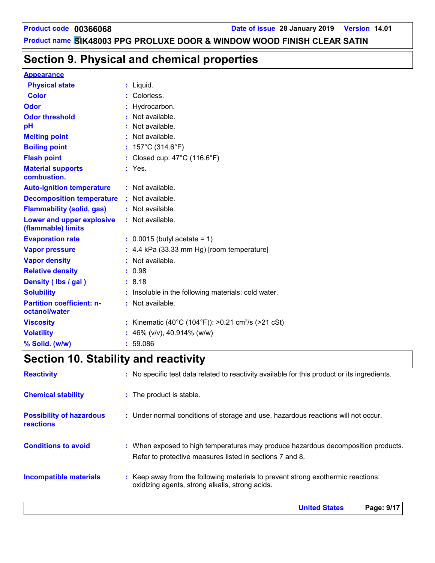# **Section 9. Physical and chemical properties**

#### **Appearance**

| <b>Physical state</b>                             |   | $:$ Liquid.                                                  |
|---------------------------------------------------|---|--------------------------------------------------------------|
| Color                                             |   | Colorless.                                                   |
| Odor                                              |   | Hydrocarbon.                                                 |
| <b>Odor threshold</b>                             | ٠ | Not available.                                               |
| pH                                                |   | Not available.                                               |
| <b>Melting point</b>                              |   | Not available.                                               |
| <b>Boiling point</b>                              |   | : $157^{\circ}$ C (314.6 $^{\circ}$ F)                       |
| <b>Flash point</b>                                |   | Closed cup: $47^{\circ}$ C (116.6 $^{\circ}$ F)              |
| <b>Material supports</b><br>combustion.           |   | $:$ Yes.                                                     |
| <b>Auto-ignition temperature</b>                  |   | $:$ Not available.                                           |
| <b>Decomposition temperature : Not available.</b> |   |                                                              |
| <b>Flammability (solid, gas)</b>                  |   | : Not available.                                             |
| Lower and upper explosive<br>(flammable) limits   |   | $:$ Not available.                                           |
| <b>Evaporation rate</b>                           |   | $\therefore$ 0.0015 (butyl acetate = 1)                      |
| <b>Vapor pressure</b>                             |   | $: 4.4$ kPa (33.33 mm Hg) [room temperature]                 |
| <b>Vapor density</b>                              |   | Not available.                                               |
| <b>Relative density</b>                           |   | 0.98                                                         |
| Density (Ibs / gal)                               |   | : 8.18                                                       |
| <b>Solubility</b>                                 |   | Insoluble in the following materials: cold water.            |
| <b>Partition coefficient: n-</b><br>octanol/water |   | Not available.                                               |
| <b>Viscosity</b>                                  |   | Kinematic (40°C (104°F)): >0.21 cm <sup>2</sup> /s (>21 cSt) |
| <b>Volatility</b>                                 |   | 46% (v/v), 40.914% (w/w)                                     |
| % Solid. (w/w)                                    |   | 59.086                                                       |

# **Section 10. Stability and reactivity**

| <b>Reactivity</b>                            | : No specific test data related to reactivity available for this product or its ingredients.                                                  |
|----------------------------------------------|-----------------------------------------------------------------------------------------------------------------------------------------------|
| <b>Chemical stability</b>                    | : The product is stable.                                                                                                                      |
| <b>Possibility of hazardous</b><br>reactions | : Under normal conditions of storage and use, hazardous reactions will not occur.                                                             |
| <b>Conditions to avoid</b>                   | : When exposed to high temperatures may produce hazardous decomposition products.<br>Refer to protective measures listed in sections 7 and 8. |
| Incompatible materials                       | : Keep away from the following materials to prevent strong exothermic reactions:<br>oxidizing agents, strong alkalis, strong acids.           |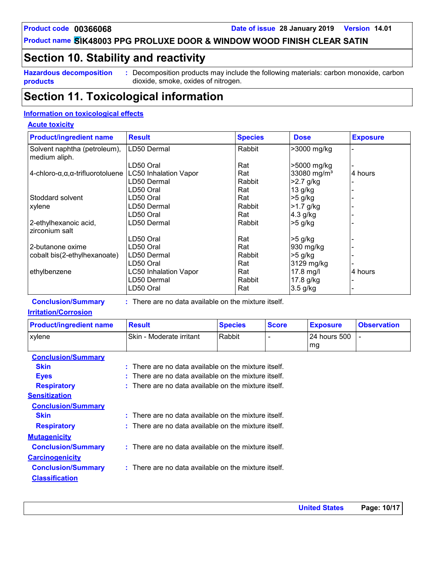### **Section 10. Stability and reactivity**

**Hazardous decomposition products**

**:** Decomposition products may include the following materials: carbon monoxide, carbon dioxide, smoke, oxides of nitrogen.

### **Section 11. Toxicological information**

#### **Information on toxicological effects**

#### **Acute toxicity**

| <b>Product/ingredient name</b>                       | <b>Result</b>                                          | <b>Species</b> | <b>Dose</b>             | <b>Exposure</b> |
|------------------------------------------------------|--------------------------------------------------------|----------------|-------------------------|-----------------|
| Solvent naphtha (petroleum),<br>medium aliph.        | LD50 Dermal                                            | Rabbit         | >3000 mg/kg             |                 |
|                                                      | LD50 Oral                                              | Rat            | >5000 mg/kg             |                 |
| 4-chloro- $\alpha, \alpha, \alpha$ -trifluorotoluene | <b>LC50 Inhalation Vapor</b>                           | Rat            | 33080 mg/m <sup>3</sup> | 4 hours         |
|                                                      | LD50 Dermal                                            | Rabbit         | $>2.7$ g/kg             |                 |
|                                                      | LD50 Oral                                              | Rat            | 13 g/kg                 |                 |
| Stoddard solvent                                     | LD50 Oral                                              | Rat            | $>5$ g/kg               |                 |
| xylene                                               | LD50 Dermal                                            | Rabbit         | $>1.7$ g/kg             |                 |
|                                                      | LD50 Oral                                              | Rat            | $4.3$ g/kg              |                 |
| 2-ethylhexanoic acid,<br>zirconium salt              | LD50 Dermal                                            | Rabbit         | $>5$ g/kg               |                 |
|                                                      | LD50 Oral                                              | Rat            | $>5$ g/kg               |                 |
| 2-butanone oxime                                     | LD50 Oral                                              | Rat            | 930 mg/kg               |                 |
| cobalt bis(2-ethylhexanoate)                         | LD50 Dermal                                            | Rabbit         | $>5$ g/kg               |                 |
|                                                      | LD50 Oral                                              | Rat            | 3129 mg/kg              |                 |
| ethylbenzene                                         | <b>LC50 Inhalation Vapor</b>                           | Rat            | $17.8$ mg/l             | 4 hours         |
|                                                      | LD50 Dermal                                            | Rabbit         | 17.8 g/kg               |                 |
|                                                      | LD50 Oral                                              | Rat            | $3.5$ g/kg              |                 |
| <b>Conclusion/Summary</b>                            | $:$ There are no data available on the mixture itself. |                |                         |                 |

There are no data available on the mixture itself.

#### **Irritation/Corrosion**

| <b>Product/ingredient name</b> | <b>Result</b>            | <b>Species</b> | <b>Score</b> | <b>Exposure</b>        | <b>Observation</b> |
|--------------------------------|--------------------------|----------------|--------------|------------------------|--------------------|
| xylene                         | Skin - Moderate irritant | l Rabbit       |              | l 24 hours 500<br>l mg |                    |
| <b>Conclusion/Summary</b>      |                          |                |              |                        |                    |

| <b>Skin</b>               | $:$ There are no data available on the mixture itself. |
|---------------------------|--------------------------------------------------------|
| <b>Eyes</b>               | $:$ There are no data available on the mixture itself. |
| <b>Respiratory</b>        | $:$ There are no data available on the mixture itself. |
| <b>Sensitization</b>      |                                                        |
| <b>Conclusion/Summary</b> |                                                        |
| <b>Skin</b>               | : There are no data available on the mixture itself.   |
| <b>Respiratory</b>        | $:$ There are no data available on the mixture itself. |
| <b>Mutagenicity</b>       |                                                        |
| <b>Conclusion/Summary</b> | : There are no data available on the mixture itself.   |
| <b>Carcinogenicity</b>    |                                                        |
| <b>Conclusion/Summary</b> | : There are no data available on the mixture itself.   |
| <b>Classification</b>     |                                                        |
|                           |                                                        |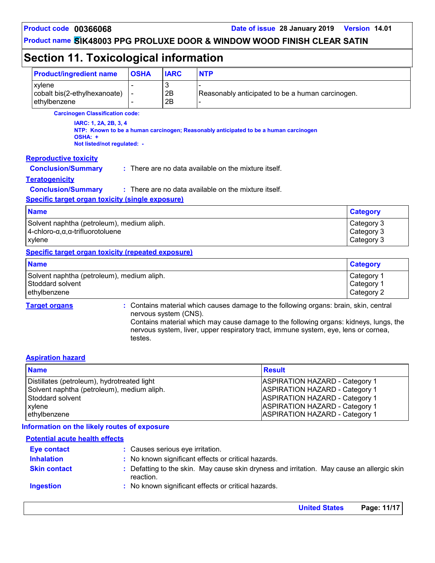**United States Page: 11/17**

# **Product name SIK48003 PPG PROLUXE DOOR & WINDOW WOOD FINISH CLEAR SATIN**

# **Section 11. Toxicological information**

| <b>Product/ingredient name</b>                                                                               | <b>OSHA</b>              | <b>IARC</b>           | <b>NTP</b>                                                                                                                                                                                                                                                          |                                        |  |
|--------------------------------------------------------------------------------------------------------------|--------------------------|-----------------------|---------------------------------------------------------------------------------------------------------------------------------------------------------------------------------------------------------------------------------------------------------------------|----------------------------------------|--|
| xylene<br>cobalt bis(2-ethylhexanoate)<br>ethylbenzene                                                       | $\overline{\phantom{a}}$ | 3<br>2B<br>2B         | Reasonably anticipated to be a human carcinogen.                                                                                                                                                                                                                    |                                        |  |
| <b>Carcinogen Classification code:</b>                                                                       |                          |                       |                                                                                                                                                                                                                                                                     |                                        |  |
| IARC: 1, 2A, 2B, 3, 4<br>OSHA: +<br>Not listed/not regulated: -                                              |                          |                       | NTP: Known to be a human carcinogen; Reasonably anticipated to be a human carcinogen                                                                                                                                                                                |                                        |  |
| <b>Reproductive toxicity</b>                                                                                 |                          |                       |                                                                                                                                                                                                                                                                     |                                        |  |
| <b>Conclusion/Summary</b>                                                                                    |                          |                       | : There are no data available on the mixture itself.                                                                                                                                                                                                                |                                        |  |
| <b>Teratogenicity</b>                                                                                        |                          |                       |                                                                                                                                                                                                                                                                     |                                        |  |
| <b>Conclusion/Summary</b>                                                                                    |                          |                       | : There are no data available on the mixture itself.                                                                                                                                                                                                                |                                        |  |
| <b>Specific target organ toxicity (single exposure)</b>                                                      |                          |                       |                                                                                                                                                                                                                                                                     |                                        |  |
| <b>Name</b>                                                                                                  |                          |                       |                                                                                                                                                                                                                                                                     | <b>Category</b>                        |  |
| Solvent naphtha (petroleum), medium aliph.<br>4-chloro- $\alpha, \alpha, \alpha$ -trifluorotoluene<br>xylene |                          |                       |                                                                                                                                                                                                                                                                     | Category 3<br>Category 3<br>Category 3 |  |
| <b>Specific target organ toxicity (repeated exposure)</b>                                                    |                          |                       |                                                                                                                                                                                                                                                                     |                                        |  |
| <b>Name</b>                                                                                                  |                          |                       |                                                                                                                                                                                                                                                                     | <b>Category</b>                        |  |
| Solvent naphtha (petroleum), medium aliph.<br>Stoddard solvent<br>ethylbenzene                               |                          |                       |                                                                                                                                                                                                                                                                     | Category 1<br>Category 1<br>Category 2 |  |
| <b>Target organs</b>                                                                                         | testes.                  | nervous system (CNS). | Contains material which causes damage to the following organs: brain, skin, central<br>Contains material which may cause damage to the following organs: kidneys, lungs, the<br>nervous system, liver, upper respiratory tract, immune system, eye, lens or cornea, |                                        |  |

#### **Aspiration hazard**

| <b>Name</b>                                 | <b>Result</b>                         |
|---------------------------------------------|---------------------------------------|
| Distillates (petroleum), hydrotreated light | <b>ASPIRATION HAZARD - Category 1</b> |
| Solvent naphtha (petroleum), medium aliph.  | <b>ASPIRATION HAZARD - Category 1</b> |
| Stoddard solvent                            | <b>ASPIRATION HAZARD - Category 1</b> |
| xylene                                      | <b>ASPIRATION HAZARD - Category 1</b> |
| ethylbenzene                                | <b>ASPIRATION HAZARD - Category 1</b> |

#### **Information on the likely routes of exposure**

| <b>Potential acute health effects</b> |                                                                                                         |
|---------------------------------------|---------------------------------------------------------------------------------------------------------|
| Eye contact                           | : Causes serious eye irritation.                                                                        |
| <b>Inhalation</b>                     | : No known significant effects or critical hazards.                                                     |
| <b>Skin contact</b>                   | : Defatting to the skin. May cause skin dryness and irritation. May cause an allergic skin<br>reaction. |
| <b>Ingestion</b>                      | : No known significant effects or critical hazards.                                                     |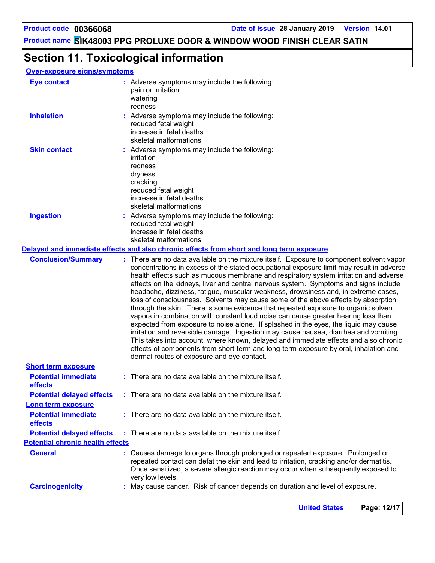**United States Page: 12/17**

**Product name SIK48003 PPG PROLUXE DOOR & WINDOW WOOD FINISH CLEAR SATIN**

# **Section 11. Toxicological information**

### **Over-exposure signs/symptoms**

| <b>Eye contact</b>                                                  | : Adverse symptoms may include the following:<br>pain or irritation<br>watering<br>redness                                                                                                                                                                                                                                                                                                                                                                                                                                                                                                                                                                                                                                                                                                                                                                                                                                                                                                                                                                                                                                                |
|---------------------------------------------------------------------|-------------------------------------------------------------------------------------------------------------------------------------------------------------------------------------------------------------------------------------------------------------------------------------------------------------------------------------------------------------------------------------------------------------------------------------------------------------------------------------------------------------------------------------------------------------------------------------------------------------------------------------------------------------------------------------------------------------------------------------------------------------------------------------------------------------------------------------------------------------------------------------------------------------------------------------------------------------------------------------------------------------------------------------------------------------------------------------------------------------------------------------------|
| <b>Inhalation</b>                                                   | : Adverse symptoms may include the following:<br>reduced fetal weight<br>increase in fetal deaths<br>skeletal malformations                                                                                                                                                                                                                                                                                                                                                                                                                                                                                                                                                                                                                                                                                                                                                                                                                                                                                                                                                                                                               |
| <b>Skin contact</b>                                                 | : Adverse symptoms may include the following:<br>irritation<br>redness<br>dryness<br>cracking<br>reduced fetal weight<br>increase in fetal deaths<br>skeletal malformations                                                                                                                                                                                                                                                                                                                                                                                                                                                                                                                                                                                                                                                                                                                                                                                                                                                                                                                                                               |
| <b>Ingestion</b>                                                    | : Adverse symptoms may include the following:<br>reduced fetal weight<br>increase in fetal deaths<br>skeletal malformations                                                                                                                                                                                                                                                                                                                                                                                                                                                                                                                                                                                                                                                                                                                                                                                                                                                                                                                                                                                                               |
|                                                                     | Delayed and immediate effects and also chronic effects from short and long term exposure                                                                                                                                                                                                                                                                                                                                                                                                                                                                                                                                                                                                                                                                                                                                                                                                                                                                                                                                                                                                                                                  |
| <b>Conclusion/Summary</b>                                           | : There are no data available on the mixture itself. Exposure to component solvent vapor<br>concentrations in excess of the stated occupational exposure limit may result in adverse<br>health effects such as mucous membrane and respiratory system irritation and adverse<br>effects on the kidneys, liver and central nervous system. Symptoms and signs include<br>headache, dizziness, fatigue, muscular weakness, drowsiness and, in extreme cases,<br>loss of consciousness. Solvents may cause some of the above effects by absorption<br>through the skin. There is some evidence that repeated exposure to organic solvent<br>vapors in combination with constant loud noise can cause greater hearing loss than<br>expected from exposure to noise alone. If splashed in the eyes, the liquid may cause<br>irritation and reversible damage. Ingestion may cause nausea, diarrhea and vomiting.<br>This takes into account, where known, delayed and immediate effects and also chronic<br>effects of components from short-term and long-term exposure by oral, inhalation and<br>dermal routes of exposure and eye contact. |
| <b>Short term exposure</b><br><b>Potential immediate</b><br>effects | : There are no data available on the mixture itself.                                                                                                                                                                                                                                                                                                                                                                                                                                                                                                                                                                                                                                                                                                                                                                                                                                                                                                                                                                                                                                                                                      |
| <b>Potential delayed effects</b>                                    | : There are no data available on the mixture itself.                                                                                                                                                                                                                                                                                                                                                                                                                                                                                                                                                                                                                                                                                                                                                                                                                                                                                                                                                                                                                                                                                      |
| <b>Long term exposure</b>                                           |                                                                                                                                                                                                                                                                                                                                                                                                                                                                                                                                                                                                                                                                                                                                                                                                                                                                                                                                                                                                                                                                                                                                           |
| <b>Potential immediate</b><br>effects                               | : There are no data available on the mixture itself.                                                                                                                                                                                                                                                                                                                                                                                                                                                                                                                                                                                                                                                                                                                                                                                                                                                                                                                                                                                                                                                                                      |
| <b>Potential delayed effects</b>                                    | : There are no data available on the mixture itself.                                                                                                                                                                                                                                                                                                                                                                                                                                                                                                                                                                                                                                                                                                                                                                                                                                                                                                                                                                                                                                                                                      |
| <b>Potential chronic health effects</b>                             |                                                                                                                                                                                                                                                                                                                                                                                                                                                                                                                                                                                                                                                                                                                                                                                                                                                                                                                                                                                                                                                                                                                                           |
| <b>General</b>                                                      | : Causes damage to organs through prolonged or repeated exposure. Prolonged or<br>repeated contact can defat the skin and lead to irritation, cracking and/or dermatitis.<br>Once sensitized, a severe allergic reaction may occur when subsequently exposed to<br>very low levels.                                                                                                                                                                                                                                                                                                                                                                                                                                                                                                                                                                                                                                                                                                                                                                                                                                                       |
| <b>Carcinogenicity</b>                                              | : May cause cancer. Risk of cancer depends on duration and level of exposure.                                                                                                                                                                                                                                                                                                                                                                                                                                                                                                                                                                                                                                                                                                                                                                                                                                                                                                                                                                                                                                                             |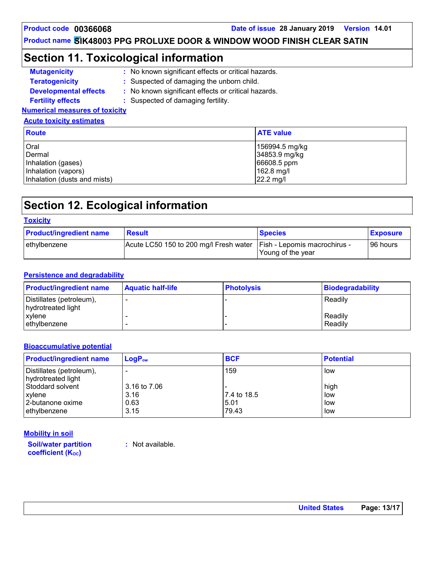### **Section 11. Toxicological information**

- **Mutagenicity : Teratogenicity : Developmental effects :** : Suspected of damaging the unborn child. : No known significant effects or critical hazards. : No known significant effects or critical hazards.
- **Fertility effects :** : Suspected of damaging fertility.
- **Numerical measures of toxicity**

#### **Acute toxicity estimates**

| <b>Route</b>                 | <b>ATE value</b> |
|------------------------------|------------------|
| Oral                         | 156994.5 mg/kg   |
| Dermal                       | 34853.9 mg/kg    |
| Inhalation (gases)           | 66608.5 ppm      |
| Inhalation (vapors)          | $162.8$ mg/l     |
| Inhalation (dusts and mists) | 22.2 mg/l        |

# **Section 12. Ecological information**

| <b>Toxicity</b>                |                                                                       |                   |                 |  |
|--------------------------------|-----------------------------------------------------------------------|-------------------|-----------------|--|
| <b>Product/ingredient name</b> | <b>Result</b>                                                         | <b>Species</b>    | <b>Exposure</b> |  |
| ethylbenzene                   | Acute LC50 150 to 200 mg/l Fresh water   Fish - Lepomis macrochirus - | Young of the year | 96 hours        |  |

#### **Persistence and degradability**

| <b>Product/ingredient name</b>                 | <b>Aquatic half-life</b> | <b>Photolysis</b> | Biodegradability   |
|------------------------------------------------|--------------------------|-------------------|--------------------|
| Distillates (petroleum),<br>hydrotreated light |                          |                   | Readily            |
| xylene<br>ethylbenzene                         |                          |                   | Readily<br>Readily |

#### **Bioaccumulative potential**

| <b>Product/ingredient name</b>                 | $LogP_{ow}$  | <b>BCF</b>   | <b>Potential</b> |
|------------------------------------------------|--------------|--------------|------------------|
| Distillates (petroleum),<br>hydrotreated light |              | 159          | low              |
| Stoddard solvent                               | 3.16 to 7.06 | 17.4 to 18.5 | high             |
| xylene                                         | 3.16         |              | low              |
| 2-butanone oxime                               | 0.63         | 5.01         | low              |
| ethylbenzene                                   | 3.15         | 79.43        | low              |

**Soil/water partition coefficient (KOC) Mobility in soil**

**:** Not available.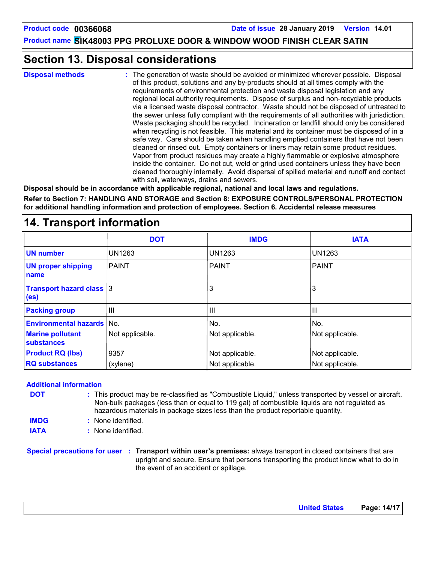### **Section 13. Disposal considerations**

**Disposal methods :**

The generation of waste should be avoided or minimized wherever possible. Disposal of this product, solutions and any by-products should at all times comply with the requirements of environmental protection and waste disposal legislation and any regional local authority requirements. Dispose of surplus and non-recyclable products via a licensed waste disposal contractor. Waste should not be disposed of untreated to the sewer unless fully compliant with the requirements of all authorities with jurisdiction. Waste packaging should be recycled. Incineration or landfill should only be considered when recycling is not feasible. This material and its container must be disposed of in a safe way. Care should be taken when handling emptied containers that have not been cleaned or rinsed out. Empty containers or liners may retain some product residues. Vapor from product residues may create a highly flammable or explosive atmosphere inside the container. Do not cut, weld or grind used containers unless they have been cleaned thoroughly internally. Avoid dispersal of spilled material and runoff and contact with soil, waterways, drains and sewers.

**Disposal should be in accordance with applicable regional, national and local laws and regulations.**

**Refer to Section 7: HANDLING AND STORAGE and Section 8: EXPOSURE CONTROLS/PERSONAL PROTECTION for additional handling information and protection of employees. Section 6. Accidental release measures**

### **14. Transport information**

|                                                      | <b>DOT</b>      | <b>IMDG</b>     | <b>IATA</b>     |
|------------------------------------------------------|-----------------|-----------------|-----------------|
| <b>UN number</b>                                     | <b>UN1263</b>   | <b>UN1263</b>   | UN1263          |
| <b>UN proper shipping</b><br>name                    | <b>PAINT</b>    | <b>PAINT</b>    | PAINT           |
| <b>Transport hazard class 3</b><br>(e <sub>s</sub> ) |                 | 3               | 3               |
| <b>Packing group</b>                                 | III             | Ш               | Ш               |
| <b>Environmental hazards</b>                         | lNo.            | No.             | No.             |
| <b>Marine pollutant</b><br><b>substances</b>         | Not applicable. | Not applicable. | Not applicable. |
| <b>Product RQ (lbs)</b>                              | 9357            | Not applicable. | Not applicable. |
| <b>RQ substances</b>                                 | (xylene)        | Not applicable. | Not applicable. |

#### **Additional information**

- This product may be re-classified as "Combustible Liquid," unless transported by vessel or aircraft. **:** Non-bulk packages (less than or equal to 119 gal) of combustible liquids are not regulated as hazardous materials in package sizes less than the product reportable quantity. **DOT**
- None identified. **: IMDG**
- **IATA :** None identified.

**Special precautions for user Transport within user's premises:** always transport in closed containers that are **:** upright and secure. Ensure that persons transporting the product know what to do in the event of an accident or spillage.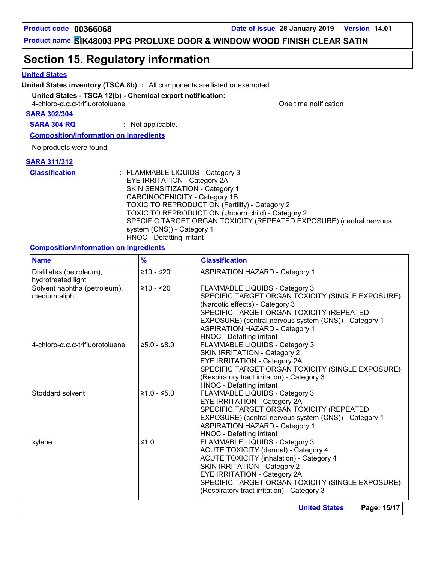**Product code 00366068 Date of issue 28 January 2019 Version 14.01**

**Product name SIK48003 PPG PROLUXE DOOR & WINDOW WOOD FINISH CLEAR SATIN**

### **Section 15. Regulatory information**

#### **United States**

**United States inventory (TSCA 8b) :** All components are listed or exempted.

#### **United States - TSCA 12(b) - Chemical export notification:**

 $4$ -chloro- $\alpha$ , $\alpha$ -trifluorotoluene  $\alpha$  one time notification

**SARA 302/304**

**SARA 304 RQ :** Not applicable.

**Composition/information on ingredients**

No products were found.

#### **SARA 311/312**

**Classification :** FLAMMABLE LIQUIDS - Category 3 EYE IRRITATION - Category 2A SKIN SENSITIZATION - Category 1 CARCINOGENICITY - Category 1B TOXIC TO REPRODUCTION (Fertility) - Category 2 TOXIC TO REPRODUCTION (Unborn child) - Category 2 SPECIFIC TARGET ORGAN TOXICITY (REPEATED EXPOSURE) (central nervous system (CNS)) - Category 1 HNOC - Defatting irritant

#### **Composition/information on ingredients**

| <b>Name</b>                                             | $\frac{9}{6}$ | <b>Classification</b>                                                                                                                                                                                                                                                                            |
|---------------------------------------------------------|---------------|--------------------------------------------------------------------------------------------------------------------------------------------------------------------------------------------------------------------------------------------------------------------------------------------------|
| Distillates (petroleum),<br>hydrotreated light          | $≥10 - ≤20$   | <b>ASPIRATION HAZARD - Category 1</b>                                                                                                                                                                                                                                                            |
| Solvent naphtha (petroleum),<br>medium aliph.           | $≥10 - 20$    | FLAMMABLE LIQUIDS - Category 3<br>SPECIFIC TARGET ORGAN TOXICITY (SINGLE EXPOSURE)<br>(Narcotic effects) - Category 3<br>SPECIFIC TARGET ORGAN TOXICITY (REPEATED<br>EXPOSURE) (central nervous system (CNS)) - Category 1<br><b>ASPIRATION HAZARD - Category 1</b><br>HNOC - Defatting irritant |
| $4$ -chloro- $\alpha, \alpha, \alpha$ -trifluorotoluene | $≥5.0 - ≤8.9$ | FLAMMABLE LIQUIDS - Category 3<br><b>SKIN IRRITATION - Category 2</b><br>EYE IRRITATION - Category 2A<br>SPECIFIC TARGET ORGAN TOXICITY (SINGLE EXPOSURE)<br>(Respiratory tract irritation) - Category 3<br>HNOC - Defatting irritant                                                            |
| Stoddard solvent                                        | $≥1.0 - ≤5.0$ | FLAMMABLE LIQUIDS - Category 3<br>EYE IRRITATION - Category 2A<br>SPECIFIC TARGET ORGAN TOXICITY (REPEATED<br>EXPOSURE) (central nervous system (CNS)) - Category 1<br><b>ASPIRATION HAZARD - Category 1</b><br>HNOC - Defatting irritant                                                        |
| xylene                                                  | $≤1.0$        | FLAMMABLE LIQUIDS - Category 3<br>ACUTE TOXICITY (dermal) - Category 4<br><b>ACUTE TOXICITY (inhalation) - Category 4</b><br>SKIN IRRITATION - Category 2<br>EYE IRRITATION - Category 2A<br>SPECIFIC TARGET ORGAN TOXICITY (SINGLE EXPOSURE)<br>(Respiratory tract irritation) - Category 3     |
|                                                         |               | Page: 15/17<br><b>United States</b>                                                                                                                                                                                                                                                              |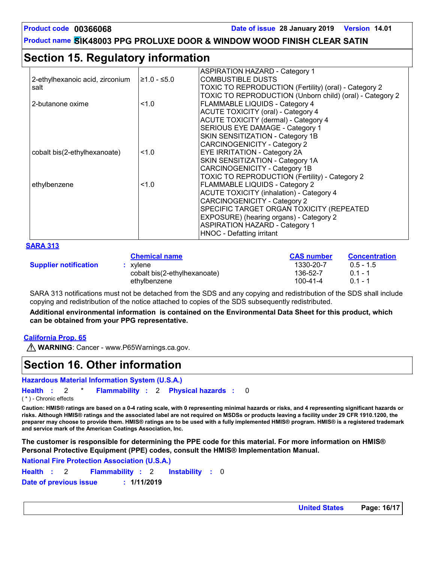# **Section 15. Regulatory information**

|                                 |               | <b>ASPIRATION HAZARD - Category 1</b>                    |
|---------------------------------|---------------|----------------------------------------------------------|
| 2-ethylhexanoic acid, zirconium | $≥1.0 - ≤5.0$ | <b>COMBUSTIBLE DUSTS</b>                                 |
| salt                            |               | TOXIC TO REPRODUCTION (Fertility) (oral) - Category 2    |
|                                 |               | TOXIC TO REPRODUCTION (Unborn child) (oral) - Category 2 |
| 2-butanone oxime                | 1.0           | <b>FLAMMABLE LIQUIDS - Category 4</b>                    |
|                                 |               | <b>ACUTE TOXICITY (oral) - Category 4</b>                |
|                                 |               | ACUTE TOXICITY (dermal) - Category 4                     |
|                                 |               | SERIOUS EYE DAMAGE - Category 1                          |
|                                 |               | SKIN SENSITIZATION - Category 1B                         |
|                                 |               | CARCINOGENICITY - Category 2                             |
| cobalt bis(2-ethylhexanoate)    | 1.0           | <b>EYE IRRITATION - Category 2A</b>                      |
|                                 |               | SKIN SENSITIZATION - Category 1A                         |
|                                 |               | CARCINOGENICITY - Category 1B                            |
|                                 |               | TOXIC TO REPRODUCTION (Fertility) - Category 2           |
| ethylbenzene                    | 1.0           | <b>FLAMMABLE LIQUIDS - Category 2</b>                    |
|                                 |               | <b>ACUTE TOXICITY (inhalation) - Category 4</b>          |
|                                 |               | CARCINOGENICITY - Category 2                             |
|                                 |               | SPECIFIC TARGET ORGAN TOXICITY (REPEATED                 |
|                                 |               | EXPOSURE) (hearing organs) - Category 2                  |
|                                 |               | <b>ASPIRATION HAZARD - Category 1</b>                    |
|                                 |               | HNOC - Defatting irritant                                |

| SARA 31 |  |
|---------|--|
|         |  |

|                              | <b>Chemical name</b>         | <b>CAS number</b> | <b>Concentration</b> |
|------------------------------|------------------------------|-------------------|----------------------|
| <b>Supplier notification</b> | xvlene                       | 1330-20-7         | $0.5 - 1.5$          |
|                              | cobalt bis(2-ethylhexanoate) | 136-52-7          | $01 - 1$             |
|                              | ethylbenzene                 | $100 - 41 - 4$    | $01 - 1$             |

SARA 313 notifications must not be detached from the SDS and any copying and redistribution of the SDS shall include copying and redistribution of the notice attached to copies of the SDS subsequently redistributed.

**Additional environmental information is contained on the Environmental Data Sheet for this product, which can be obtained from your PPG representative.**

#### **California Prop. 65**

**M** WARNING: Cancer - www.P65Warnings.ca.gov.

### **Section 16. Other information**

**Hazardous Material Information System (U.S.A.)**

**Health** : 2 \* **Flammability** : 2 **Physical hazards** : 0 0

( \* ) - Chronic effects

**Caution: HMIS® ratings are based on a 0-4 rating scale, with 0 representing minimal hazards or risks, and 4 representing significant hazards or risks. Although HMIS® ratings and the associated label are not required on MSDSs or products leaving a facility under 29 CFR 1910.1200, the preparer may choose to provide them. HMIS® ratings are to be used with a fully implemented HMIS® program. HMIS® is a registered trademark and service mark of the American Coatings Association, Inc.**

**The customer is responsible for determining the PPE code for this material. For more information on HMIS® Personal Protective Equipment (PPE) codes, consult the HMIS® Implementation Manual.**

**National Fire Protection Association (U.S.A.)**

```
Instability : 0
Health: 2 Flammability: 2 Instability: 0
Date of previous issue : 1/11/2019
```